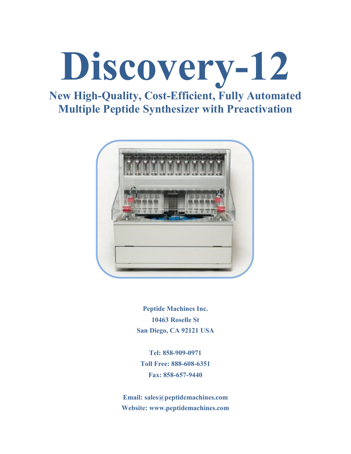

## **New High-Quality, Cost-Efficient, Fully Automated Multiple Peptide Synthesizer with Preactivation**



**Peptide Machines Inc. 10463 Roselle St San Diego, CA 92121 USA**

**Tel: 858-909-0971 Toll Free: 888-608-6351 Fax: 858-657-9440**

**Email: [sales@peptidemachines.com](mailto:sales@peptidemachines.com) Website: [www.peptidemachines.com](http://www.peptidemachines.com/)**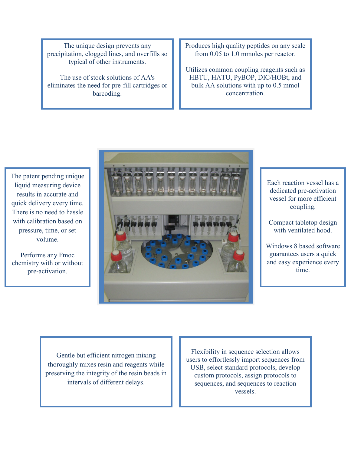The unique design prevents any precipitation, clogged lines, and overfills so typical of other instruments.

The use of stock solutions of AA's eliminates the need for pre-fill cartridges or barcoding.

Produces high quality peptides on any scale from 0.05 to 1.0 mmoles per reactor.

Utilizes common coupling reagents such as HBTU, HATU, PyBOP, DIC/HOBt, and bulk AA solutions with up to 0.5 mmol concentration.

The patent pending unique liquid measuring device results in accurate and quick delivery every time. There is no need to hassle with calibration based on pressure, time, or set volume.

Performs any Fmoc chemistry with or without pre-activation.



Each reaction vessel has a dedicated pre-activation vessel for more efficient coupling.

Compact tabletop design with ventilated hood.

Windows 8 based software guarantees users a quick and easy experience every time.

Gentle but efficient nitrogen mixing thoroughly mixes resin and reagents while preserving the integrity of the resin beads in intervals of different delays.

Flexibility in sequence selection allows users to effortlessly import sequences from USB, select standard protocols, develop custom protocols, assign protocols to sequences, and sequences to reaction vessels.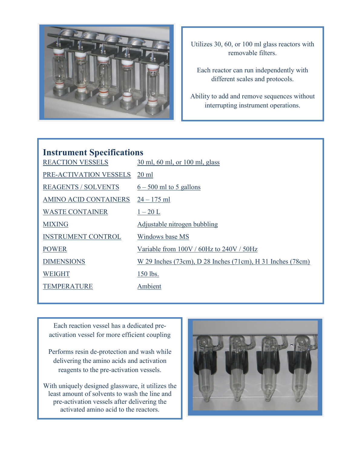

Utilizes 30, 60, or 100 ml glass reactors with removable filters.

Each reactor can run independently with different scales and protocols.

Ability to add and remove sequences without interrupting instrument operations.

## **Instrument Specifications** REACTION VESSELS 30 ml, 60 ml, or 100 ml, glass PRE-ACTIVATION VESSELS 20 ml <u>REAGENTS / SOLVENTS</u>  $6 - 500$  ml to 5 gallons AMINO ACID CONTAINERS 24 – 175 ml WASTE CONTAINER  $1-20$  L MIXING Adjustable nitrogen bubbling INSTRUMENT CONTROL Windows base MS POWER Variable from 100V / 60Hz to 240V / 50Hz DIMENSIONS W 29 Inches (73cm), D 28 Inches (71cm), H 31 Inches (78cm) WEIGHT 150 lbs. TEMPERATURE Ambient

Each reaction vessel has a dedicated preactivation vessel for more efficient coupling

Performs resin de-protection and wash while delivering the amino acids and activation reagents to the pre-activation vessels.

With uniquely designed glassware, it utilizes the least amount of solvents to wash the line and pre-activation vessels after delivering the activated amino acid to the reactors.